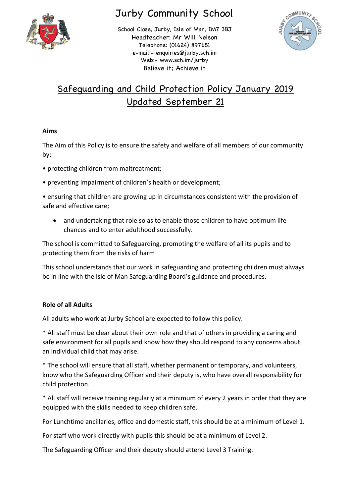

# Jurby Community School

School Close, Jurby, Isle of Man, IM7 3BJ Headteacher: Mr Will Nelson Telephone: (01624) 897651 e-mail:- enquiries@jurby.sch.im Web:- www.sch.im/jurby Believe it; Achieve it



# Safeguarding and Child Protection Policy January 2019 Updated September 21

# **Aims**

The Aim of this Policy is to ensure the safety and welfare of all members of our community by:

- protecting children from maltreatment;
- preventing impairment of children's health or development;

• ensuring that children are growing up in circumstances consistent with the provision of safe and effective care;

• and undertaking that role so as to enable those children to have optimum life chances and to enter adulthood successfully.

The school is committed to Safeguarding, promoting the welfare of all its pupils and to protecting them from the risks of harm

This school understands that our work in safeguarding and protecting children must always be in line with the Isle of Man Safeguarding Board's guidance and procedures.

# **Role of all Adults**

All adults who work at Jurby School are expected to follow this policy.

\* All staff must be clear about their own role and that of others in providing a caring and safe environment for all pupils and know how they should respond to any concerns about an individual child that may arise.

\* The school will ensure that all staff, whether permanent or temporary, and volunteers, know who the Safeguarding Officer and their deputy is, who have overall responsibility for child protection.

\* All staff will receive training regularly at a minimum of every 2 years in order that they are equipped with the skills needed to keep children safe.

For Lunchtime ancillaries, office and domestic staff, this should be at a minimum of Level 1.

For staff who work directly with pupils this should be at a minimum of Level 2.

The Safeguarding Officer and their deputy should attend Level 3 Training.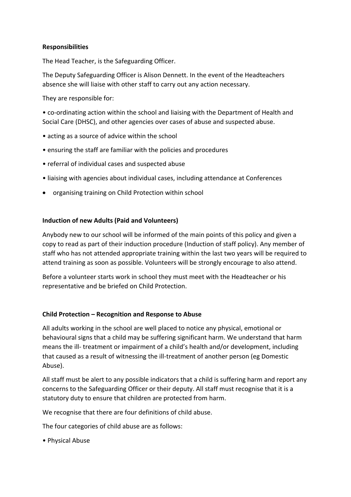## **Responsibilities**

The Head Teacher, is the Safeguarding Officer.

The Deputy Safeguarding Officer is Alison Dennett. In the event of the Headteachers absence she will liaise with other staff to carry out any action necessary.

They are responsible for:

• co-ordinating action within the school and liaising with the Department of Health and Social Care (DHSC), and other agencies over cases of abuse and suspected abuse.

- acting as a source of advice within the school
- ensuring the staff are familiar with the policies and procedures
- referral of individual cases and suspected abuse
- liaising with agencies about individual cases, including attendance at Conferences
- organising training on Child Protection within school

#### **Induction of new Adults (Paid and Volunteers)**

Anybody new to our school will be informed of the main points of this policy and given a copy to read as part of their induction procedure (Induction of staff policy). Any member of staff who has not attended appropriate training within the last two years will be required to attend training as soon as possible. Volunteers will be strongly encourage to also attend.

Before a volunteer starts work in school they must meet with the Headteacher or his representative and be briefed on Child Protection.

#### **Child Protection – Recognition and Response to Abuse**

All adults working in the school are well placed to notice any physical, emotional or behavioural signs that a child may be suffering significant harm. We understand that harm means the ill- treatment or impairment of a child's health and/or development, including that caused as a result of witnessing the ill-treatment of another person (eg Domestic Abuse).

All staff must be alert to any possible indicators that a child is suffering harm and report any concerns to the Safeguarding Officer or their deputy. All staff must recognise that it is a statutory duty to ensure that children are protected from harm.

We recognise that there are four definitions of child abuse.

The four categories of child abuse are as follows:

• Physical Abuse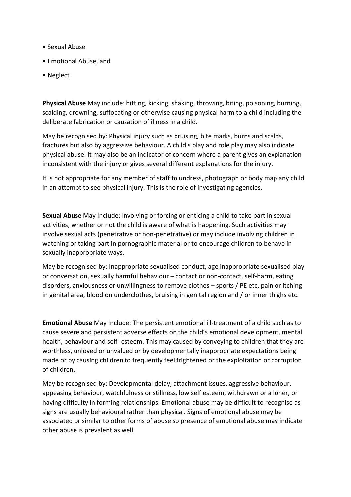- Sexual Abuse
- Emotional Abuse, and
- Neglect

**Physical Abuse** May include: hitting, kicking, shaking, throwing, biting, poisoning, burning, scalding, drowning, suffocating or otherwise causing physical harm to a child including the deliberate fabrication or causation of illness in a child.

May be recognised by: Physical injury such as bruising, bite marks, burns and scalds, fractures but also by aggressive behaviour. A child's play and role play may also indicate physical abuse. It may also be an indicator of concern where a parent gives an explanation inconsistent with the injury or gives several different explanations for the injury.

It is not appropriate for any member of staff to undress, photograph or body map any child in an attempt to see physical injury. This is the role of investigating agencies.

**Sexual Abuse** May Include: Involving or forcing or enticing a child to take part in sexual activities, whether or not the child is aware of what is happening. Such activities may involve sexual acts (penetrative or non-penetrative) or may include involving children in watching or taking part in pornographic material or to encourage children to behave in sexually inappropriate ways.

May be recognised by: Inappropriate sexualised conduct, age inappropriate sexualised play or conversation, sexually harmful behaviour – contact or non-contact, self-harm, eating disorders, anxiousness or unwillingness to remove clothes – sports / PE etc, pain or itching in genital area, blood on underclothes, bruising in genital region and / or inner thighs etc.

**Emotional Abuse** May Include: The persistent emotional ill-treatment of a child such as to cause severe and persistent adverse effects on the child's emotional development, mental health, behaviour and self- esteem. This may caused by conveying to children that they are worthless, unloved or unvalued or by developmentally inappropriate expectations being made or by causing children to frequently feel frightened or the exploitation or corruption of children.

May be recognised by: Developmental delay, attachment issues, aggressive behaviour, appeasing behaviour, watchfulness or stillness, low self esteem, withdrawn or a loner, or having difficulty in forming relationships. Emotional abuse may be difficult to recognise as signs are usually behavioural rather than physical. Signs of emotional abuse may be associated or similar to other forms of abuse so presence of emotional abuse may indicate other abuse is prevalent as well.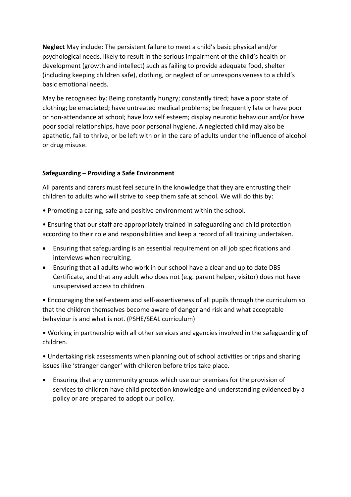**Neglect** May include: The persistent failure to meet a child's basic physical and/or psychological needs, likely to result in the serious impairment of the child's health or development (growth and intellect) such as failing to provide adequate food, shelter (including keeping children safe), clothing, or neglect of or unresponsiveness to a child's basic emotional needs.

May be recognised by: Being constantly hungry; constantly tired; have a poor state of clothing; be emaciated; have untreated medical problems; be frequently late or have poor or non-attendance at school; have low self esteem; display neurotic behaviour and/or have poor social relationships, have poor personal hygiene. A neglected child may also be apathetic, fail to thrive, or be left with or in the care of adults under the influence of alcohol or drug misuse.

# **Safeguarding – Providing a Safe Environment**

All parents and carers must feel secure in the knowledge that they are entrusting their children to adults who will strive to keep them safe at school. We will do this by:

• Promoting a caring, safe and positive environment within the school.

• Ensuring that our staff are appropriately trained in safeguarding and child protection according to their role and responsibilities and keep a record of all training undertaken.

- Ensuring that safeguarding is an essential requirement on all job specifications and interviews when recruiting.
- Ensuring that all adults who work in our school have a clear and up to date DBS Certificate, and that any adult who does not (e.g. parent helper, visitor) does not have unsupervised access to children.

• Encouraging the self-esteem and self-assertiveness of all pupils through the curriculum so that the children themselves become aware of danger and risk and what acceptable behaviour is and what is not. (PSHE/SEAL curriculum)

• Working in partnership with all other services and agencies involved in the safeguarding of children.

• Undertaking risk assessments when planning out of school activities or trips and sharing issues like 'stranger danger' with children before trips take place.

• Ensuring that any community groups which use our premises for the provision of services to children have child protection knowledge and understanding evidenced by a policy or are prepared to adopt our policy.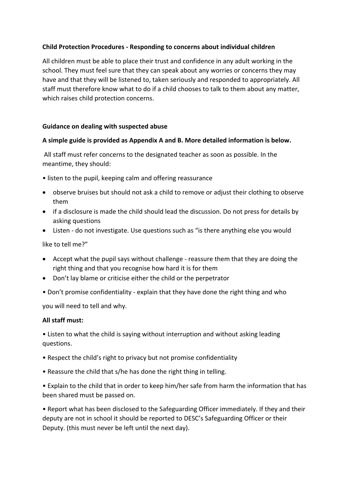## **Child Protection Procedures - Responding to concerns about individual children**

All children must be able to place their trust and confidence in any adult working in the school. They must feel sure that they can speak about any worries or concerns they may have and that they will be listened to, taken seriously and responded to appropriately. All staff must therefore know what to do if a child chooses to talk to them about any matter, which raises child protection concerns.

### **Guidance on dealing with suspected abuse**

### **A simple guide is provided as Appendix A and B. More detailed information is below.**

All staff must refer concerns to the designated teacher as soon as possible. In the meantime, they should:

- listen to the pupil, keeping calm and offering reassurance
- observe bruises but should not ask a child to remove or adjust their clothing to observe them
- if a disclosure is made the child should lead the discussion. Do not press for details by asking questions
- Listen do not investigate. Use questions such as "is there anything else you would

like to tell me?"

- Accept what the pupil says without challenge reassure them that they are doing the right thing and that you recognise how hard it is for them
- Don't lay blame or criticise either the child or the perpetrator
- Don't promise confidentiality explain that they have done the right thing and who

you will need to tell and why.

#### **All staff must:**

• Listen to what the child is saying without interruption and without asking leading questions.

- Respect the child's right to privacy but not promise confidentiality
- Reassure the child that s/he has done the right thing in telling.

• Explain to the child that in order to keep him/her safe from harm the information that has been shared must be passed on.

• Report what has been disclosed to the Safeguarding Officer immediately. If they and their deputy are not in school it should be reported to DESC's Safeguarding Officer or their Deputy. (this must never be left until the next day).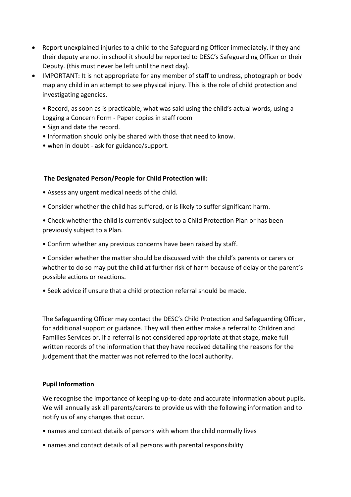- Report unexplained injuries to a child to the Safeguarding Officer immediately. If they and their deputy are not in school it should be reported to DESC's Safeguarding Officer or their Deputy. (this must never be left until the next day).
- IMPORTANT: It is not appropriate for any member of staff to undress, photograph or body map any child in an attempt to see physical injury. This is the role of child protection and investigating agencies.

• Record, as soon as is practicable, what was said using the child's actual words, using a Logging a Concern Form - Paper copies in staff room

- Sign and date the record.
- Information should only be shared with those that need to know.
- when in doubt ask for guidance/support.

#### **The Designated Person/People for Child Protection will:**

- Assess any urgent medical needs of the child.
- Consider whether the child has suffered, or is likely to suffer significant harm.
- Check whether the child is currently subject to a Child Protection Plan or has been previously subject to a Plan.
- Confirm whether any previous concerns have been raised by staff.

• Consider whether the matter should be discussed with the child's parents or carers or whether to do so may put the child at further risk of harm because of delay or the parent's possible actions or reactions.

• Seek advice if unsure that a child protection referral should be made.

The Safeguarding Officer may contact the DESC's Child Protection and Safeguarding Officer, for additional support or guidance. They will then either make a referral to Children and Families Services or, if a referral is not considered appropriate at that stage, make full written records of the information that they have received detailing the reasons for the judgement that the matter was not referred to the local authority.

#### **Pupil Information**

We recognise the importance of keeping up-to-date and accurate information about pupils. We will annually ask all parents/carers to provide us with the following information and to notify us of any changes that occur.

- names and contact details of persons with whom the child normally lives
- names and contact details of all persons with parental responsibility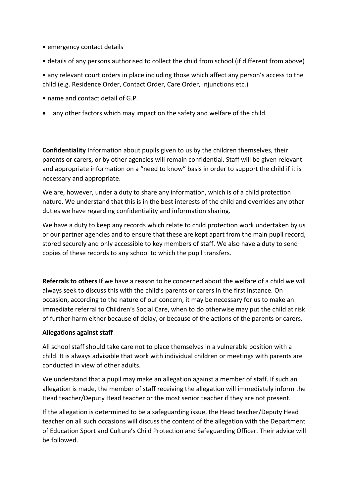- emergency contact details
- details of any persons authorised to collect the child from school (if different from above)

• any relevant court orders in place including those which affect any person's access to the child (e.g. Residence Order, Contact Order, Care Order, Injunctions etc.)

- name and contact detail of G.P.
- any other factors which may impact on the safety and welfare of the child.

**Confidentiality** Information about pupils given to us by the children themselves, their parents or carers, or by other agencies will remain confidential. Staff will be given relevant and appropriate information on a "need to know" basis in order to support the child if it is necessary and appropriate.

We are, however, under a duty to share any information, which is of a child protection nature. We understand that this is in the best interests of the child and overrides any other duties we have regarding confidentiality and information sharing.

We have a duty to keep any records which relate to child protection work undertaken by us or our partner agencies and to ensure that these are kept apart from the main pupil record, stored securely and only accessible to key members of staff. We also have a duty to send copies of these records to any school to which the pupil transfers.

**Referrals to others** If we have a reason to be concerned about the welfare of a child we will always seek to discuss this with the child's parents or carers in the first instance. On occasion, according to the nature of our concern, it may be necessary for us to make an immediate referral to Children's Social Care, when to do otherwise may put the child at risk of further harm either because of delay, or because of the actions of the parents or carers.

## **Allegations against staff**

All school staff should take care not to place themselves in a vulnerable position with a child. It is always advisable that work with individual children or meetings with parents are conducted in view of other adults.

We understand that a pupil may make an allegation against a member of staff. If such an allegation is made, the member of staff receiving the allegation will immediately inform the Head teacher/Deputy Head teacher or the most senior teacher if they are not present.

If the allegation is determined to be a safeguarding issue, the Head teacher/Deputy Head teacher on all such occasions will discuss the content of the allegation with the Department of Education Sport and Culture's Child Protection and Safeguarding Officer. Their advice will be followed.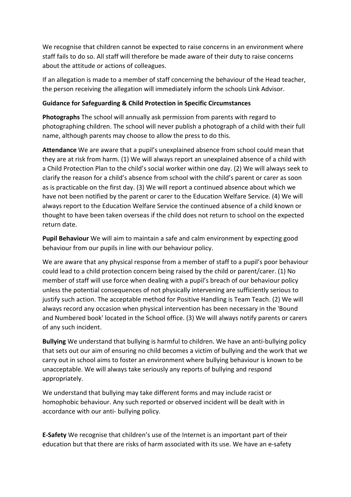We recognise that children cannot be expected to raise concerns in an environment where staff fails to do so. All staff will therefore be made aware of their duty to raise concerns about the attitude or actions of colleagues.

If an allegation is made to a member of staff concerning the behaviour of the Head teacher, the person receiving the allegation will immediately inform the schools Link Advisor.

## **Guidance for Safeguarding & Child Protection in Specific Circumstances**

**Photographs** The school will annually ask permission from parents with regard to photographing children. The school will never publish a photograph of a child with their full name, although parents may choose to allow the press to do this.

**Attendance** We are aware that a pupil's unexplained absence from school could mean that they are at risk from harm. (1) We will always report an unexplained absence of a child with a Child Protection Plan to the child's social worker within one day. (2) We will always seek to clarify the reason for a child's absence from school with the child's parent or carer as soon as is practicable on the first day. (3) We will report a continued absence about which we have not been notified by the parent or carer to the Education Welfare Service. (4) We will always report to the Education Welfare Service the continued absence of a child known or thought to have been taken overseas if the child does not return to school on the expected return date.

**Pupil Behaviour** We will aim to maintain a safe and calm environment by expecting good behaviour from our pupils in line with our behaviour policy.

We are aware that any physical response from a member of staff to a pupil's poor behaviour could lead to a child protection concern being raised by the child or parent/carer. (1) No member of staff will use force when dealing with a pupil's breach of our behaviour policy unless the potential consequences of not physically intervening are sufficiently serious to justify such action. The acceptable method for Positive Handling is Team Teach. (2) We will always record any occasion when physical intervention has been necessary in the 'Bound and Numbered book' located in the School office. (3) We will always notify parents or carers of any such incident.

**Bullying** We understand that bullying is harmful to children. We have an anti-bullying policy that sets out our aim of ensuring no child becomes a victim of bullying and the work that we carry out in school aims to foster an environment where bullying behaviour is known to be unacceptable. We will always take seriously any reports of bullying and respond appropriately.

We understand that bullying may take different forms and may include racist or homophobic behaviour. Any such reported or observed incident will be dealt with in accordance with our anti- bullying policy.

**E-Safety** We recognise that children's use of the Internet is an important part of their education but that there are risks of harm associated with its use. We have an e-safety